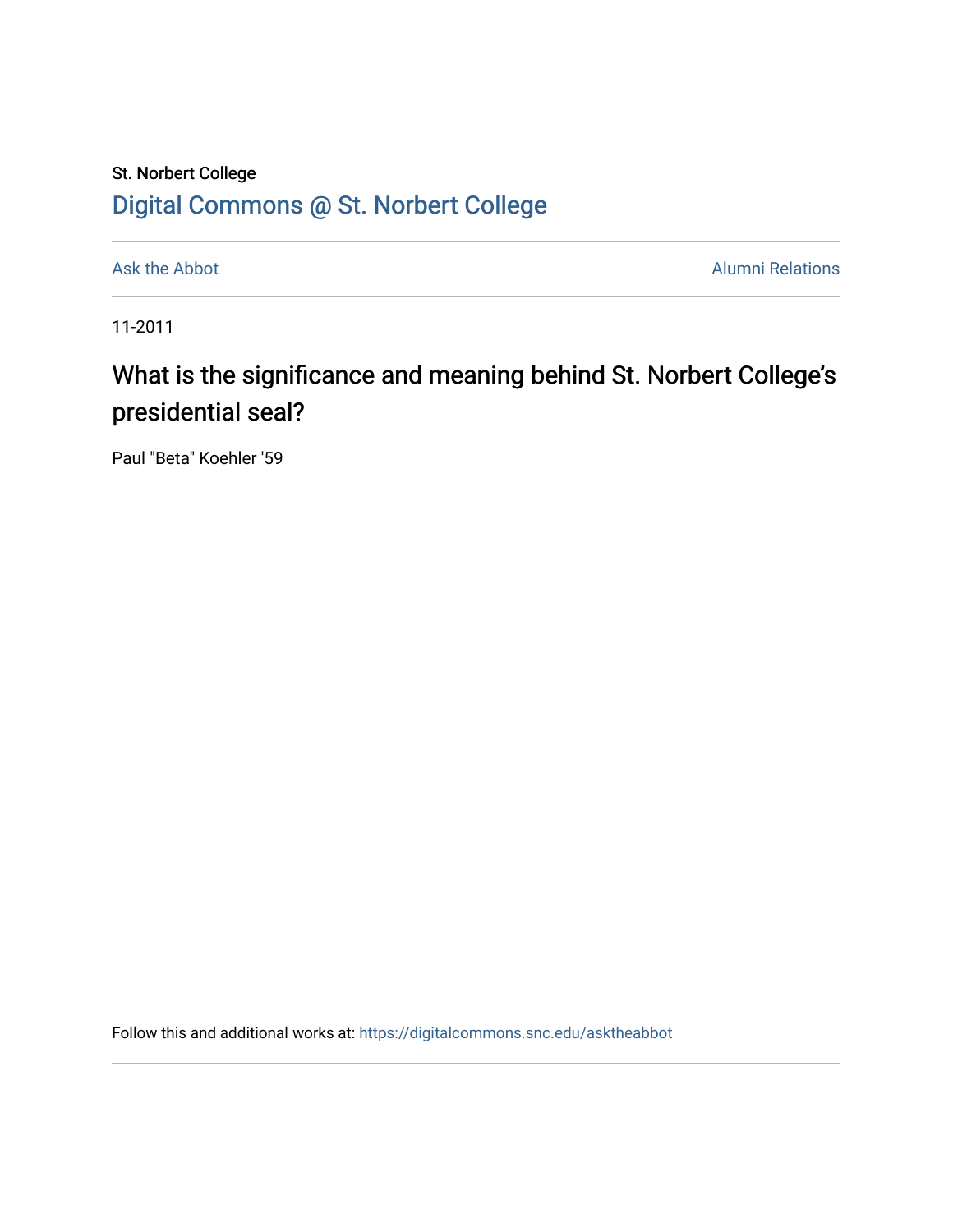## St. Norbert College [Digital Commons @ St. Norbert College](https://digitalcommons.snc.edu/)

[Ask the Abbot](https://digitalcommons.snc.edu/asktheabbot) **Alumni Relations** Alumni Relations

11-2011

## What is the significance and meaning behind St. Norbert College's presidential seal?

Paul "Beta" Koehler '59

Follow this and additional works at: [https://digitalcommons.snc.edu/asktheabbot](https://digitalcommons.snc.edu/asktheabbot?utm_source=digitalcommons.snc.edu%2Fasktheabbot%2F62&utm_medium=PDF&utm_campaign=PDFCoverPages)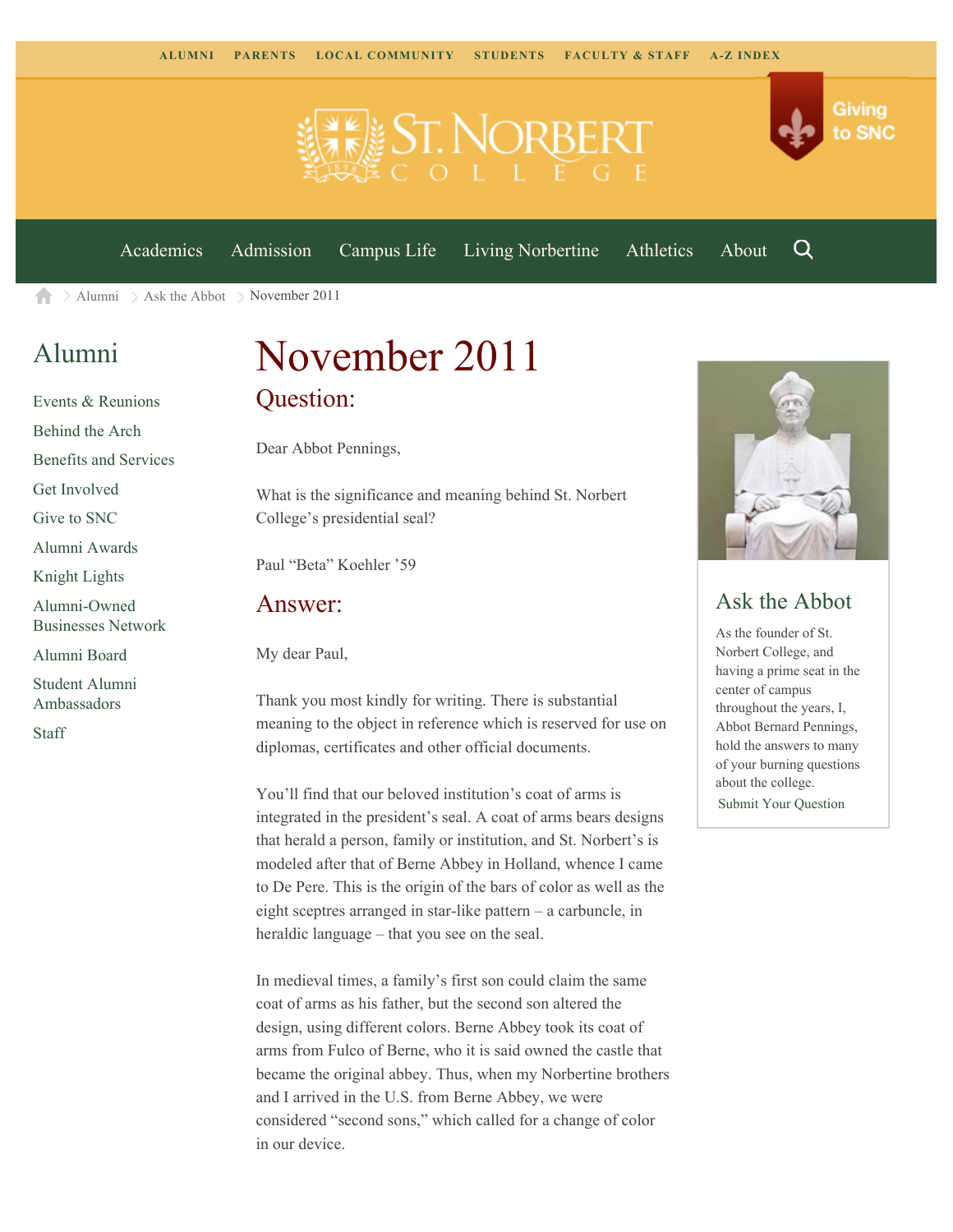

[Academics](https://www.snc.edu/academics) [Admission](https://www.snc.edu/admission) [Campus Life](https://www.snc.edu/campuslife) [Living Norbertine](https://www.snc.edu/livingnorbertine) [Athletics](https://www.snc.edu/athletics) [About](https://www.snc.edu/about)

Q

Giving

to SNC

 $\geq$  [Alumni](https://www.snc.edu/alumni/)  $\geq$  [Ask the Abbot](https://www.snc.edu/alumni/abbot/)  $\geq$  November 2011 合

## [Alumni](https://www.snc.edu/alumni/index.html)

[Events & Reunions](https://www.snc.edu/alumni/event/index.html) [Behind the Arch](https://www.snc.edu/alumni/event/behindthearch/) [Benefits and Services](https://www.snc.edu/alumni/benefits.html) [Get Involved](https://www.snc.edu/alumni/getinvolved.html) [Give to SNC](http://giving.snc.edu/) [Alumni Awards](https://www.snc.edu/alumni/awards/index.html) [Knight Lights](https://www.snc.edu/alumni/knightlights/index.html) [Alumni-Owned](https://www.snc.edu/alumni/directory/index.html) [Businesses Network](https://www.snc.edu/alumni/directory/index.html) [Alumni Board](https://www.snc.edu/alumni/alumniboard.html) [Student Alumni](https://www.snc.edu/alumni/saa.html) [Ambassadors](https://www.snc.edu/alumni/saa.html) [Staff](https://www.snc.edu/alumni/contactus.html)

# November 2011 Question:

Dear Abbot Pennings,

What is the significance and meaning behind St. Norbert College's presidential seal?

Paul "Beta" Koehler '59

Answer:

My dear Paul,

Thank you most kindly for writing. There is substantial meaning to the object in reference which is reserved for use on diplomas, certificates and other official documents.

You'll find that our beloved institution's coat of arms is integrated in the president's seal. A coat of arms bears designs that herald a person, family or institution, and St. Norbert's is modeled after that of Berne Abbey in Holland, whence I came to De Pere. This is the origin of the bars of color as well as the eight sceptres arranged in star-like pattern – a carbuncle, in heraldic language – that you see on the seal.

In medieval times, a family's first son could claim the same coat of arms as his father, but the second son altered the design, using different colors. Berne Abbey took its coat of arms from Fulco of Berne, who it is said owned the castle that became the original abbey. Thus, when my Norbertine brothers and I arrived in the U.S. from Berne Abbey, we were considered "second sons," which called for a change of color in our device.



### Ask the Abbot

As the founder of St. Norbert College, and having a prime seat in the center of campus throughout the years, I, Abbot Bernard Pennings, hold the answers to many of your burning questions about the college.

[Submit Your Question](https://www.snc.edu/alumni/abbot/index.html)